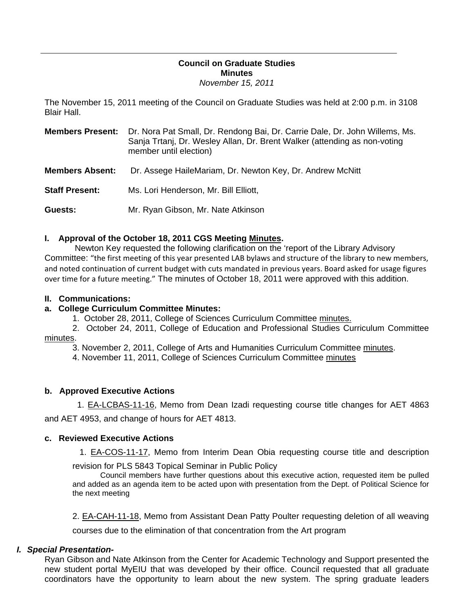### **Council on Graduate Studies Minutes**  *November 15, 2011*

The November 15, 2011 meeting of the Council on Graduate Studies was held at 2:00 p.m. in 3108 Blair Hall.

| <b>Members Present:</b> | Dr. Nora Pat Small, Dr. Rendong Bai, Dr. Carrie Dale, Dr. John Willems, Ms.<br>Sanja Trtanj, Dr. Wesley Allan, Dr. Brent Walker (attending as non-voting<br>member until election) |
|-------------------------|------------------------------------------------------------------------------------------------------------------------------------------------------------------------------------|
| <b>Members Absent:</b>  | Dr. Assege HaileMariam, Dr. Newton Key, Dr. Andrew McNitt                                                                                                                          |
| <b>Staff Present:</b>   | Ms. Lori Henderson, Mr. Bill Elliott,                                                                                                                                              |
| Guests:                 | Mr. Ryan Gibson, Mr. Nate Atkinson                                                                                                                                                 |

## **I. Approval of the October 18, 2011 CGS Meetin[g Minutes.](http://castle.eiu.edu/eiucgs/currentminutes/Minutes10-18-11.pdf)**

 Newton Key requested the following clarification on the 'report of the Library Advisory Committee: "the first meeting of this year presented LAB bylaws and structure of the library to new members, and noted continuation of current budget with cuts mandated in previous years. Board asked for usage figures over time for a future meeting." The minutes of October 18, 2011 were approved with this addition.

#### **II. Communications:**

#### **a. College Curriculum Committee Minutes:**

1. October 28, 2011, College of Sciences Curriculum Committe[e minutes.](http://castle.eiu.edu/~eiucgs/currentagendaitems/COSMin10-28-11.pdf) 

 2. October 24, 2011, College of Education and Professional Studies Curriculum Committee [minutes.](http://castle.eiu.edu/~eiucgs/currentagendaitems/CEPSMin10-24-11.pdf) 

3. November 2, 2011, College of Arts and Humanities Curriculum Committ[ee minutes.](http://castle.eiu.edu/~eiucgs/currentagendaitems/CAHMin11-2-11.pdf) 

4. November 11, 2011, College of Sciences Curriculum Commit[tee minutes](http://castle.eiu.edu/~eiucgs/currentagendaitems/COSMin11-11-11.pdf) 

#### **b. Approved Executive Actions**

[1. EA-LCBAS-11-16, M](http://castle.eiu.edu/~eiucgs/exec-actions/EA-LCBAS-11-16.pdf)emo from Dean Izadi requesting course title changes for AET 4863 and AET 4953, and change of hours for AET 4813.

#### **c. Reviewed Executive Actions**

1. [EA-COS-11-17, M](http://castle.eiu.edu/~eiucgs/exec-actions/EA-COS-11-17.pdf)emo from Interim Dean Obia requesting course title and description

revision for PLS 5843 Topical Seminar in Public Policy

Council members have further questions about this executive action, requested item be pulled and added as an agenda item to be acted upon with presentation from the Dept. of Political Science for the next meeting

[2. EA-CAH-11-18, M](http://castle.eiu.edu/~eiucgs/exec-actions/EA-CAH-11-18.pdf)emo from Assistant Dean Patty Poulter requesting deletion of all weaving

courses due to the elimination of that concentration from the Art program

#### *I. Special Presentation-*

Ryan Gibson and Nate Atkinson from the Center for Academic Technology and Support presented the new student portal MyEIU that was developed by their office. Council requested that all graduate coordinators have the opportunity to learn about the new system. The spring graduate leaders